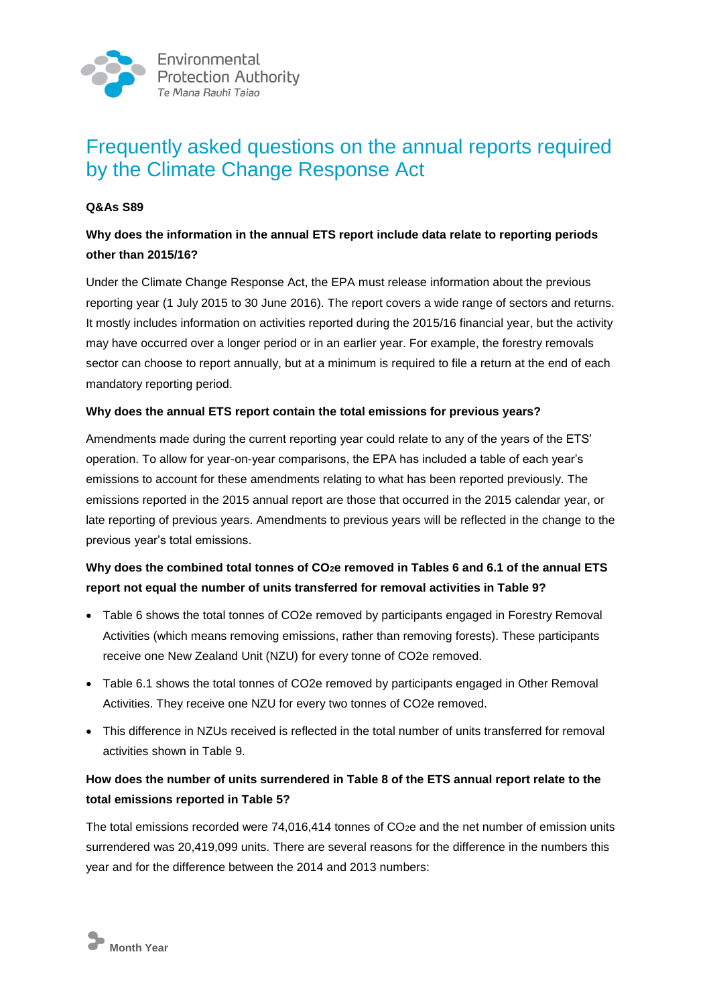

# Frequently asked questions on the annual reports required by the Climate Change Response Act

#### **Q&As S89**

## **Why does the information in the annual ETS report include data relate to reporting periods other than 2015/16?**

Under the Climate Change Response Act, the EPA must release information about the previous reporting year (1 July 2015 to 30 June 2016). The report covers a wide range of sectors and returns. It mostly includes information on activities reported during the 2015/16 financial year, but the activity may have occurred over a longer period or in an earlier year. For example, the forestry removals sector can choose to report annually, but at a minimum is required to file a return at the end of each mandatory reporting period.

#### **Why does the annual ETS report contain the total emissions for previous years?**

Amendments made during the current reporting year could relate to any of the years of the ETS' operation. To allow for year-on-year comparisons, the EPA has included a table of each year's emissions to account for these amendments relating to what has been reported previously. The emissions reported in the 2015 annual report are those that occurred in the 2015 calendar year, or late reporting of previous years. Amendments to previous years will be reflected in the change to the previous year's total emissions.

## **Why does the combined total tonnes of CO2e removed in Tables 6 and 6.1 of the annual ETS report not equal the number of units transferred for removal activities in Table 9?**

- Table 6 shows the total tonnes of CO2e removed by participants engaged in Forestry Removal Activities (which means removing emissions, rather than removing forests). These participants receive one New Zealand Unit (NZU) for every tonne of CO2e removed.
- Table 6.1 shows the total tonnes of CO2e removed by participants engaged in Other Removal Activities. They receive one NZU for every two tonnes of CO2e removed.
- This difference in NZUs received is reflected in the total number of units transferred for removal activities shown in Table 9.

## **How does the number of units surrendered in Table 8 of the ETS annual report relate to the total emissions reported in Table 5?**

The total emissions recorded were 74,016,414 tonnes of CO<sub>2</sub>e and the net number of emission units surrendered was 20,419,099 units. There are several reasons for the difference in the numbers this year and for the difference between the 2014 and 2013 numbers: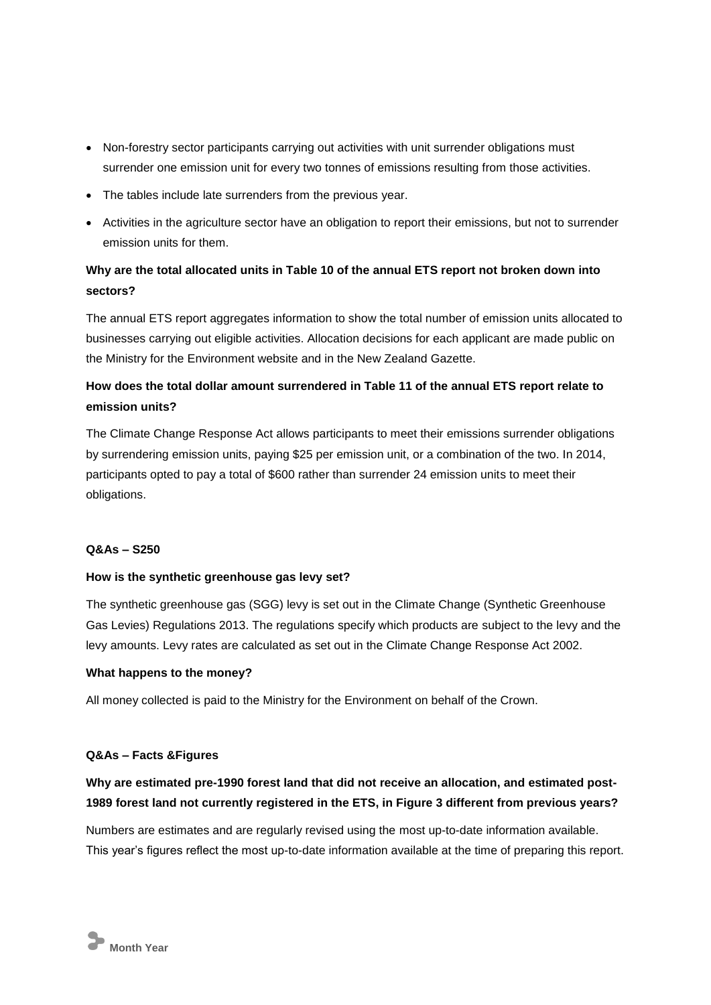- Non-forestry sector participants carrying out activities with unit surrender obligations must surrender one emission unit for every two tonnes of emissions resulting from those activities.
- The tables include late surrenders from the previous year.
- Activities in the agriculture sector have an obligation to report their emissions, but not to surrender emission units for them.

# **Why are the total allocated units in Table 10 of the annual ETS report not broken down into sectors?**

The annual ETS report aggregates information to show the total number of emission units allocated to businesses carrying out eligible activities. Allocation decisions for each applicant are made public on the Ministry for the Environment website and in the New Zealand Gazette.

# **How does the total dollar amount surrendered in Table 11 of the annual ETS report relate to emission units?**

The Climate Change Response Act allows participants to meet their emissions surrender obligations by surrendering emission units, paying \$25 per emission unit, or a combination of the two. In 2014, participants opted to pay a total of \$600 rather than surrender 24 emission units to meet their obligations.

#### **Q&As – S250**

#### **How is the synthetic greenhouse gas levy set?**

The synthetic greenhouse gas (SGG) levy is set out in the Climate Change (Synthetic Greenhouse Gas Levies) Regulations 2013. The regulations specify which products are subject to the levy and the levy amounts. Levy rates are calculated as set out in the Climate Change Response Act 2002.

#### **What happens to the money?**

All money collected is paid to the Ministry for the Environment on behalf of the Crown.

#### **Q&As – Facts &Figures**

## **Why are estimated pre-1990 forest land that did not receive an allocation, and estimated post-1989 forest land not currently registered in the ETS, in Figure 3 different from previous years?**

Numbers are estimates and are regularly revised using the most up-to-date information available. This year's figures reflect the most up-to-date information available at the time of preparing this report.